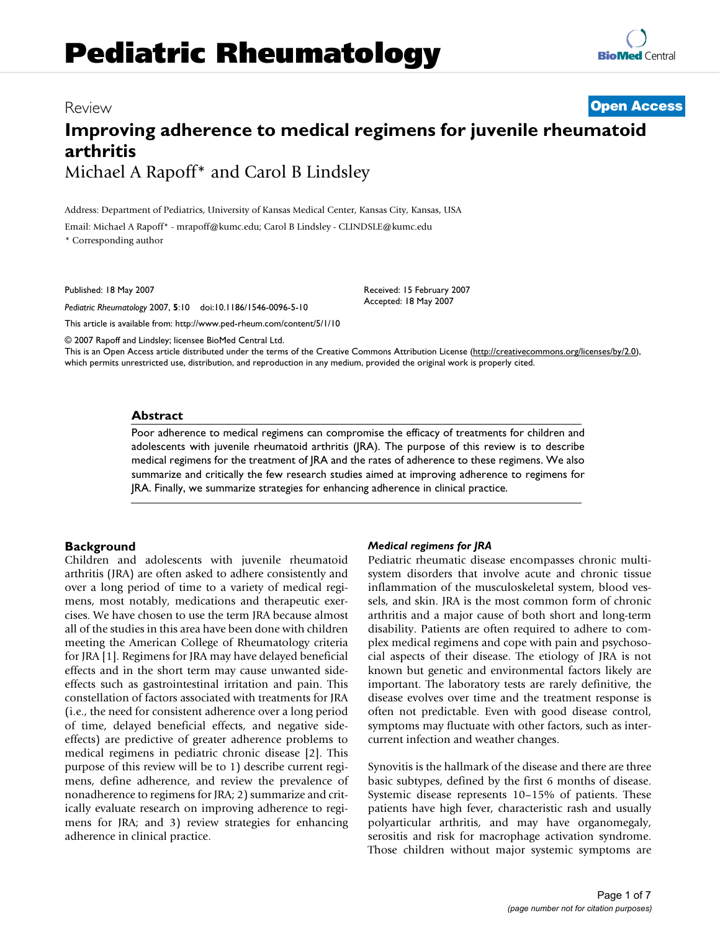# Review **[Open Access](http://www.biomedcentral.com/info/about/charter/)**

# **Improving adherence to medical regimens for juvenile rheumatoid arthritis** Michael A Rapoff\* and Carol B Lindsley

Address: Department of Pediatrics, University of Kansas Medical Center, Kansas City, Kansas, USA

Email: Michael A Rapoff\* - mrapoff@kumc.edu; Carol B Lindsley - CLINDSLE@kumc.edu

\* Corresponding author

Published: 18 May 2007

*Pediatric Rheumatology* 2007, **5**:10 doi:10.1186/1546-0096-5-10

[This article is available from: http://www.ped-rheum.com/content/5/1/10](http://www.ped-rheum.com/content/5/1/10)

© 2007 Rapoff and Lindsley; licensee BioMed Central Ltd.

This is an Open Access article distributed under the terms of the Creative Commons Attribution License [\(http://creativecommons.org/licenses/by/2.0\)](http://creativecommons.org/licenses/by/2.0), which permits unrestricted use, distribution, and reproduction in any medium, provided the original work is properly cited.

#### **Abstract**

Poor adherence to medical regimens can compromise the efficacy of treatments for children and adolescents with juvenile rheumatoid arthritis (JRA). The purpose of this review is to describe medical regimens for the treatment of JRA and the rates of adherence to these regimens. We also summarize and critically the few research studies aimed at improving adherence to regimens for JRA. Finally, we summarize strategies for enhancing adherence in clinical practice.

# **Background**

Children and adolescents with juvenile rheumatoid arthritis (JRA) are often asked to adhere consistently and over a long period of time to a variety of medical regimens, most notably, medications and therapeutic exercises. We have chosen to use the term JRA because almost all of the studies in this area have been done with children meeting the American College of Rheumatology criteria for JRA [1]. Regimens for JRA may have delayed beneficial effects and in the short term may cause unwanted sideeffects such as gastrointestinal irritation and pain. This constellation of factors associated with treatments for JRA (i.e., the need for consistent adherence over a long period of time, delayed beneficial effects, and negative sideeffects) are predictive of greater adherence problems to medical regimens in pediatric chronic disease [2]. This purpose of this review will be to 1) describe current regimens, define adherence, and review the prevalence of nonadherence to regimens for JRA; 2) summarize and critically evaluate research on improving adherence to regimens for JRA; and 3) review strategies for enhancing adherence in clinical practice.

# *Medical regimens for JRA*

Received: 15 February 2007 Accepted: 18 May 2007

Pediatric rheumatic disease encompasses chronic multisystem disorders that involve acute and chronic tissue inflammation of the musculoskeletal system, blood vessels, and skin. JRA is the most common form of chronic arthritis and a major cause of both short and long-term disability. Patients are often required to adhere to complex medical regimens and cope with pain and psychosocial aspects of their disease. The etiology of JRA is not known but genetic and environmental factors likely are important. The laboratory tests are rarely definitive, the disease evolves over time and the treatment response is often not predictable. Even with good disease control, symptoms may fluctuate with other factors, such as intercurrent infection and weather changes.

Synovitis is the hallmark of the disease and there are three basic subtypes, defined by the first 6 months of disease. Systemic disease represents 10–15% of patients. These patients have high fever, characteristic rash and usually polyarticular arthritis, and may have organomegaly, serositis and risk for macrophage activation syndrome. Those children without major systemic symptoms are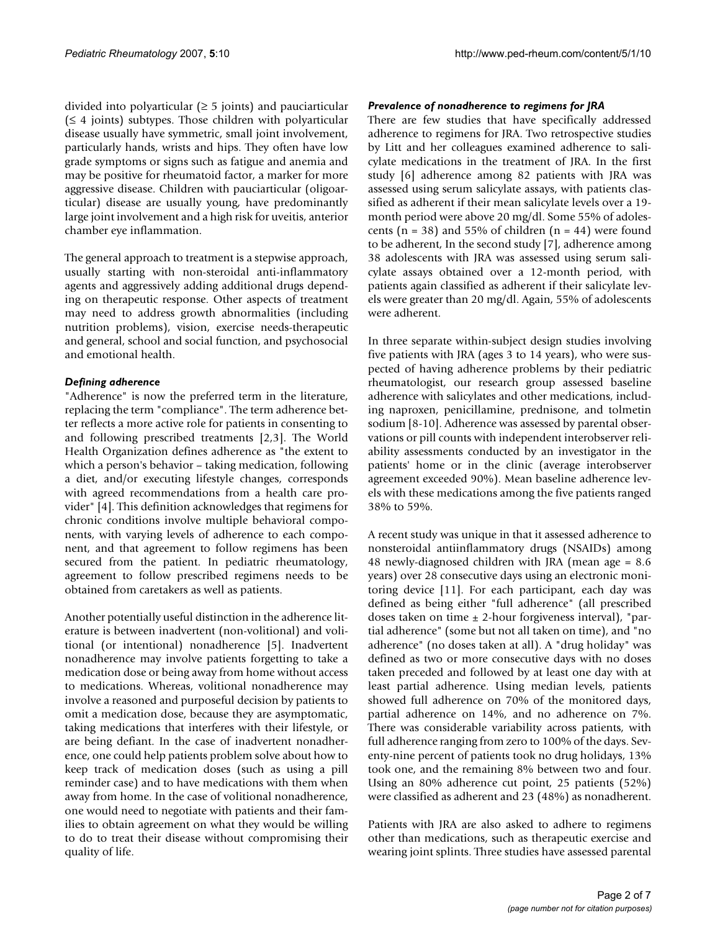divided into polyarticular ( $\geq$  5 joints) and pauciarticular  $($  ≤ 4 joints) subtypes. Those children with polyarticular disease usually have symmetric, small joint involvement, particularly hands, wrists and hips. They often have low grade symptoms or signs such as fatigue and anemia and may be positive for rheumatoid factor, a marker for more aggressive disease. Children with pauciarticular (oligoarticular) disease are usually young, have predominantly large joint involvement and a high risk for uveitis, anterior chamber eye inflammation.

The general approach to treatment is a stepwise approach, usually starting with non-steroidal anti-inflammatory agents and aggressively adding additional drugs depending on therapeutic response. Other aspects of treatment may need to address growth abnormalities (including nutrition problems), vision, exercise needs-therapeutic and general, school and social function, and psychosocial and emotional health.

### *Defining adherence*

"Adherence" is now the preferred term in the literature, replacing the term "compliance". The term adherence better reflects a more active role for patients in consenting to and following prescribed treatments [2,3]. The World Health Organization defines adherence as "the extent to which a person's behavior – taking medication, following a diet, and/or executing lifestyle changes, corresponds with agreed recommendations from a health care provider" [4]. This definition acknowledges that regimens for chronic conditions involve multiple behavioral components, with varying levels of adherence to each component, and that agreement to follow regimens has been secured from the patient. In pediatric rheumatology, agreement to follow prescribed regimens needs to be obtained from caretakers as well as patients.

Another potentially useful distinction in the adherence literature is between inadvertent (non-volitional) and volitional (or intentional) nonadherence [5]. Inadvertent nonadherence may involve patients forgetting to take a medication dose or being away from home without access to medications. Whereas, volitional nonadherence may involve a reasoned and purposeful decision by patients to omit a medication dose, because they are asymptomatic, taking medications that interferes with their lifestyle, or are being defiant. In the case of inadvertent nonadherence, one could help patients problem solve about how to keep track of medication doses (such as using a pill reminder case) and to have medications with them when away from home. In the case of volitional nonadherence, one would need to negotiate with patients and their families to obtain agreement on what they would be willing to do to treat their disease without compromising their quality of life.

### *Prevalence of nonadherence to regimens for JRA*

There are few studies that have specifically addressed adherence to regimens for JRA. Two retrospective studies by Litt and her colleagues examined adherence to salicylate medications in the treatment of JRA. In the first study [6] adherence among 82 patients with JRA was assessed using serum salicylate assays, with patients classified as adherent if their mean salicylate levels over a 19 month period were above 20 mg/dl. Some 55% of adolescents (n = 38) and 55% of children (n = 44) were found to be adherent, In the second study [7], adherence among 38 adolescents with JRA was assessed using serum salicylate assays obtained over a 12-month period, with patients again classified as adherent if their salicylate levels were greater than 20 mg/dl. Again, 55% of adolescents were adherent.

In three separate within-subject design studies involving five patients with JRA (ages 3 to 14 years), who were suspected of having adherence problems by their pediatric rheumatologist, our research group assessed baseline adherence with salicylates and other medications, including naproxen, penicillamine, prednisone, and tolmetin sodium [8-10]. Adherence was assessed by parental observations or pill counts with independent interobserver reliability assessments conducted by an investigator in the patients' home or in the clinic (average interobserver agreement exceeded 90%). Mean baseline adherence levels with these medications among the five patients ranged 38% to 59%.

A recent study was unique in that it assessed adherence to nonsteroidal antiinflammatory drugs (NSAIDs) among 48 newly-diagnosed children with JRA (mean age = 8.6 years) over 28 consecutive days using an electronic monitoring device [11]. For each participant, each day was defined as being either "full adherence" (all prescribed doses taken on time  $\pm$  2-hour forgiveness interval), "partial adherence" (some but not all taken on time), and "no adherence" (no doses taken at all). A "drug holiday" was defined as two or more consecutive days with no doses taken preceded and followed by at least one day with at least partial adherence. Using median levels, patients showed full adherence on 70% of the monitored days, partial adherence on 14%, and no adherence on 7%. There was considerable variability across patients, with full adherence ranging from zero to 100% of the days. Seventy-nine percent of patients took no drug holidays, 13% took one, and the remaining 8% between two and four. Using an 80% adherence cut point, 25 patients (52%) were classified as adherent and 23 (48%) as nonadherent.

Patients with JRA are also asked to adhere to regimens other than medications, such as therapeutic exercise and wearing joint splints. Three studies have assessed parental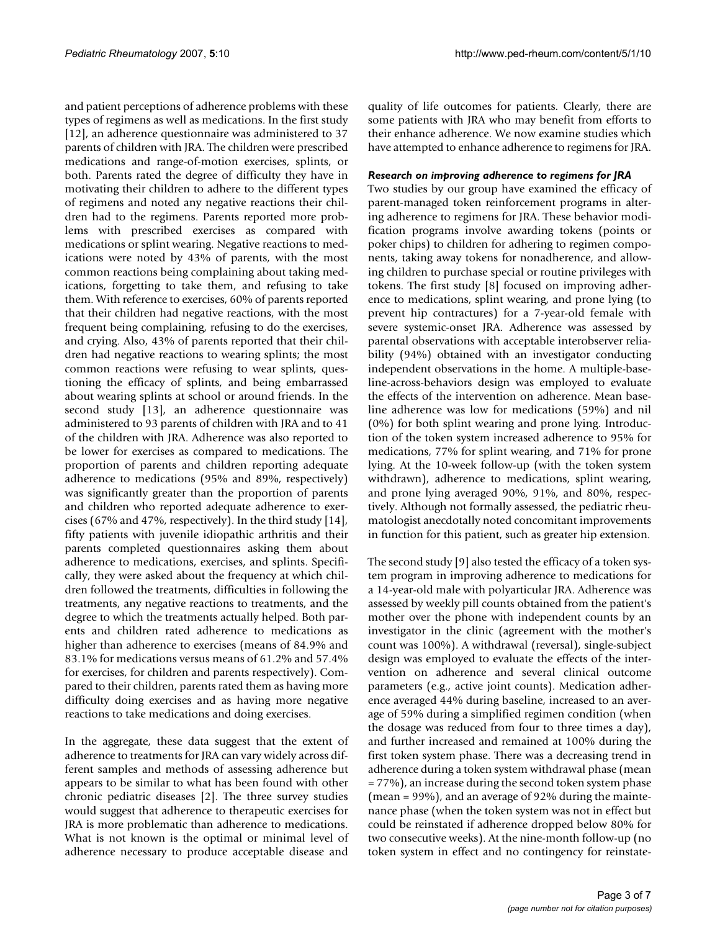and patient perceptions of adherence problems with these types of regimens as well as medications. In the first study [12], an adherence questionnaire was administered to 37 parents of children with JRA. The children were prescribed medications and range-of-motion exercises, splints, or both. Parents rated the degree of difficulty they have in motivating their children to adhere to the different types of regimens and noted any negative reactions their children had to the regimens. Parents reported more problems with prescribed exercises as compared with medications or splint wearing. Negative reactions to medications were noted by 43% of parents, with the most common reactions being complaining about taking medications, forgetting to take them, and refusing to take them. With reference to exercises, 60% of parents reported that their children had negative reactions, with the most frequent being complaining, refusing to do the exercises, and crying. Also, 43% of parents reported that their children had negative reactions to wearing splints; the most common reactions were refusing to wear splints, questioning the efficacy of splints, and being embarrassed about wearing splints at school or around friends. In the second study [13], an adherence questionnaire was administered to 93 parents of children with JRA and to 41 of the children with JRA. Adherence was also reported to be lower for exercises as compared to medications. The proportion of parents and children reporting adequate adherence to medications (95% and 89%, respectively) was significantly greater than the proportion of parents and children who reported adequate adherence to exercises (67% and 47%, respectively). In the third study [14], fifty patients with juvenile idiopathic arthritis and their parents completed questionnaires asking them about adherence to medications, exercises, and splints. Specifically, they were asked about the frequency at which children followed the treatments, difficulties in following the treatments, any negative reactions to treatments, and the degree to which the treatments actually helped. Both parents and children rated adherence to medications as higher than adherence to exercises (means of 84.9% and 83.1% for medications versus means of 61.2% and 57.4% for exercises, for children and parents respectively). Compared to their children, parents rated them as having more difficulty doing exercises and as having more negative reactions to take medications and doing exercises.

In the aggregate, these data suggest that the extent of adherence to treatments for JRA can vary widely across different samples and methods of assessing adherence but appears to be similar to what has been found with other chronic pediatric diseases [2]. The three survey studies would suggest that adherence to therapeutic exercises for JRA is more problematic than adherence to medications. What is not known is the optimal or minimal level of adherence necessary to produce acceptable disease and

quality of life outcomes for patients. Clearly, there are some patients with JRA who may benefit from efforts to their enhance adherence. We now examine studies which have attempted to enhance adherence to regimens for JRA.

#### *Research on improving adherence to regimens for JRA*

Two studies by our group have examined the efficacy of parent-managed token reinforcement programs in altering adherence to regimens for JRA. These behavior modification programs involve awarding tokens (points or poker chips) to children for adhering to regimen components, taking away tokens for nonadherence, and allowing children to purchase special or routine privileges with tokens. The first study [8] focused on improving adherence to medications, splint wearing, and prone lying (to prevent hip contractures) for a 7-year-old female with severe systemic-onset JRA. Adherence was assessed by parental observations with acceptable interobserver reliability (94%) obtained with an investigator conducting independent observations in the home. A multiple-baseline-across-behaviors design was employed to evaluate the effects of the intervention on adherence. Mean baseline adherence was low for medications (59%) and nil (0%) for both splint wearing and prone lying. Introduction of the token system increased adherence to 95% for medications, 77% for splint wearing, and 71% for prone lying. At the 10-week follow-up (with the token system withdrawn), adherence to medications, splint wearing, and prone lying averaged 90%, 91%, and 80%, respectively. Although not formally assessed, the pediatric rheumatologist anecdotally noted concomitant improvements in function for this patient, such as greater hip extension.

The second study [9] also tested the efficacy of a token system program in improving adherence to medications for a 14-year-old male with polyarticular JRA. Adherence was assessed by weekly pill counts obtained from the patient's mother over the phone with independent counts by an investigator in the clinic (agreement with the mother's count was 100%). A withdrawal (reversal), single-subject design was employed to evaluate the effects of the intervention on adherence and several clinical outcome parameters (e.g., active joint counts). Medication adherence averaged 44% during baseline, increased to an average of 59% during a simplified regimen condition (when the dosage was reduced from four to three times a day), and further increased and remained at 100% during the first token system phase. There was a decreasing trend in adherence during a token system withdrawal phase (mean = 77%), an increase during the second token system phase (mean = 99%), and an average of 92% during the maintenance phase (when the token system was not in effect but could be reinstated if adherence dropped below 80% for two consecutive weeks). At the nine-month follow-up (no token system in effect and no contingency for reinstate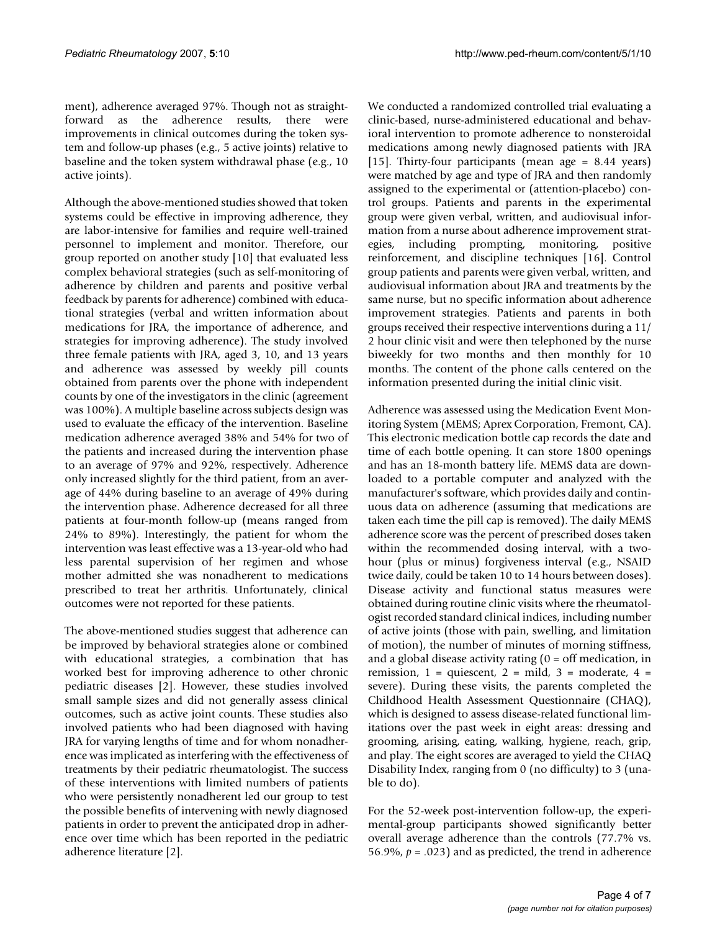ment), adherence averaged 97%. Though not as straightforward as the adherence results, there were improvements in clinical outcomes during the token system and follow-up phases (e.g., 5 active joints) relative to baseline and the token system withdrawal phase (e.g., 10 active joints).

Although the above-mentioned studies showed that token systems could be effective in improving adherence, they are labor-intensive for families and require well-trained personnel to implement and monitor. Therefore, our group reported on another study [10] that evaluated less complex behavioral strategies (such as self-monitoring of adherence by children and parents and positive verbal feedback by parents for adherence) combined with educational strategies (verbal and written information about medications for JRA, the importance of adherence, and strategies for improving adherence). The study involved three female patients with JRA, aged 3, 10, and 13 years and adherence was assessed by weekly pill counts obtained from parents over the phone with independent counts by one of the investigators in the clinic (agreement was 100%). A multiple baseline across subjects design was used to evaluate the efficacy of the intervention. Baseline medication adherence averaged 38% and 54% for two of the patients and increased during the intervention phase to an average of 97% and 92%, respectively. Adherence only increased slightly for the third patient, from an average of 44% during baseline to an average of 49% during the intervention phase. Adherence decreased for all three patients at four-month follow-up (means ranged from 24% to 89%). Interestingly, the patient for whom the intervention was least effective was a 13-year-old who had less parental supervision of her regimen and whose mother admitted she was nonadherent to medications prescribed to treat her arthritis. Unfortunately, clinical outcomes were not reported for these patients.

The above-mentioned studies suggest that adherence can be improved by behavioral strategies alone or combined with educational strategies, a combination that has worked best for improving adherence to other chronic pediatric diseases [2]. However, these studies involved small sample sizes and did not generally assess clinical outcomes, such as active joint counts. These studies also involved patients who had been diagnosed with having JRA for varying lengths of time and for whom nonadherence was implicated as interfering with the effectiveness of treatments by their pediatric rheumatologist. The success of these interventions with limited numbers of patients who were persistently nonadherent led our group to test the possible benefits of intervening with newly diagnosed patients in order to prevent the anticipated drop in adherence over time which has been reported in the pediatric adherence literature [2].

We conducted a randomized controlled trial evaluating a clinic-based, nurse-administered educational and behavioral intervention to promote adherence to nonsteroidal medications among newly diagnosed patients with JRA [15]. Thirty-four participants (mean age = 8.44 years) were matched by age and type of JRA and then randomly assigned to the experimental or (attention-placebo) control groups. Patients and parents in the experimental group were given verbal, written, and audiovisual information from a nurse about adherence improvement strategies, including prompting, monitoring, positive reinforcement, and discipline techniques [16]. Control group patients and parents were given verbal, written, and audiovisual information about JRA and treatments by the same nurse, but no specific information about adherence improvement strategies. Patients and parents in both groups received their respective interventions during a 11/ 2 hour clinic visit and were then telephoned by the nurse biweekly for two months and then monthly for 10 months. The content of the phone calls centered on the information presented during the initial clinic visit.

Adherence was assessed using the Medication Event Monitoring System (MEMS; Aprex Corporation, Fremont, CA). This electronic medication bottle cap records the date and time of each bottle opening. It can store 1800 openings and has an 18-month battery life. MEMS data are downloaded to a portable computer and analyzed with the manufacturer's software, which provides daily and continuous data on adherence (assuming that medications are taken each time the pill cap is removed). The daily MEMS adherence score was the percent of prescribed doses taken within the recommended dosing interval, with a twohour (plus or minus) forgiveness interval (e.g., NSAID twice daily, could be taken 10 to 14 hours between doses). Disease activity and functional status measures were obtained during routine clinic visits where the rheumatologist recorded standard clinical indices, including number of active joints (those with pain, swelling, and limitation of motion), the number of minutes of morning stiffness, and a global disease activity rating  $(0 = \text{off} \text{ medication}, \text{in}$ remission,  $1 = \text{quiescent}, 2 = \text{mild}, 3 = \text{moderate}, 4 = \text{moderate}$ severe). During these visits, the parents completed the Childhood Health Assessment Questionnaire (CHAQ), which is designed to assess disease-related functional limitations over the past week in eight areas: dressing and grooming, arising, eating, walking, hygiene, reach, grip, and play. The eight scores are averaged to yield the CHAQ Disability Index, ranging from 0 (no difficulty) to 3 (unable to do).

For the 52-week post-intervention follow-up, the experimental-group participants showed significantly better overall average adherence than the controls (77.7% vs. 56.9%,  $p = .023$ ) and as predicted, the trend in adherence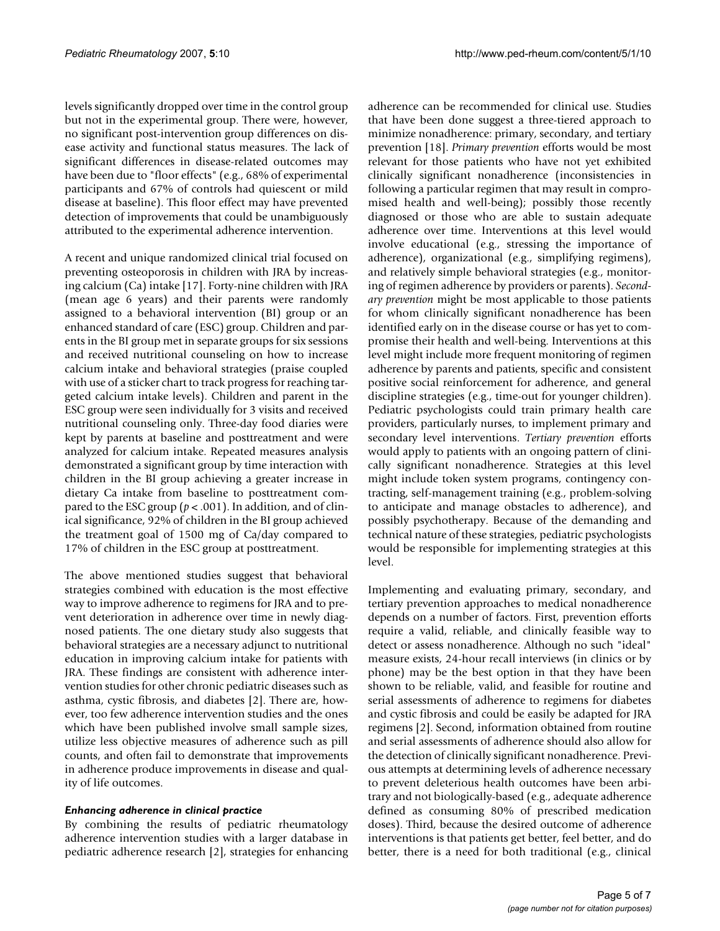levels significantly dropped over time in the control group but not in the experimental group. There were, however, no significant post-intervention group differences on disease activity and functional status measures. The lack of significant differences in disease-related outcomes may have been due to "floor effects" (e.g., 68% of experimental participants and 67% of controls had quiescent or mild disease at baseline). This floor effect may have prevented detection of improvements that could be unambiguously attributed to the experimental adherence intervention.

A recent and unique randomized clinical trial focused on preventing osteoporosis in children with JRA by increasing calcium (Ca) intake [17]. Forty-nine children with JRA (mean age 6 years) and their parents were randomly assigned to a behavioral intervention (BI) group or an enhanced standard of care (ESC) group. Children and parents in the BI group met in separate groups for six sessions and received nutritional counseling on how to increase calcium intake and behavioral strategies (praise coupled with use of a sticker chart to track progress for reaching targeted calcium intake levels). Children and parent in the ESC group were seen individually for 3 visits and received nutritional counseling only. Three-day food diaries were kept by parents at baseline and posttreatment and were analyzed for calcium intake. Repeated measures analysis demonstrated a significant group by time interaction with children in the BI group achieving a greater increase in dietary Ca intake from baseline to posttreatment compared to the ESC group (*p* < .001). In addition, and of clinical significance, 92% of children in the BI group achieved the treatment goal of 1500 mg of Ca/day compared to 17% of children in the ESC group at posttreatment.

The above mentioned studies suggest that behavioral strategies combined with education is the most effective way to improve adherence to regimens for JRA and to prevent deterioration in adherence over time in newly diagnosed patients. The one dietary study also suggests that behavioral strategies are a necessary adjunct to nutritional education in improving calcium intake for patients with JRA. These findings are consistent with adherence intervention studies for other chronic pediatric diseases such as asthma, cystic fibrosis, and diabetes [2]. There are, however, too few adherence intervention studies and the ones which have been published involve small sample sizes, utilize less objective measures of adherence such as pill counts, and often fail to demonstrate that improvements in adherence produce improvements in disease and quality of life outcomes.

#### *Enhancing adherence in clinical practice*

By combining the results of pediatric rheumatology adherence intervention studies with a larger database in pediatric adherence research [2], strategies for enhancing

adherence can be recommended for clinical use. Studies that have been done suggest a three-tiered approach to minimize nonadherence: primary, secondary, and tertiary prevention [18]. *Primary prevention* efforts would be most relevant for those patients who have not yet exhibited clinically significant nonadherence (inconsistencies in following a particular regimen that may result in compromised health and well-being); possibly those recently diagnosed or those who are able to sustain adequate adherence over time. Interventions at this level would involve educational (e.g., stressing the importance of adherence), organizational (e.g., simplifying regimens), and relatively simple behavioral strategies (e.g., monitoring of regimen adherence by providers or parents). *Secondary prevention* might be most applicable to those patients for whom clinically significant nonadherence has been identified early on in the disease course or has yet to compromise their health and well-being. Interventions at this level might include more frequent monitoring of regimen adherence by parents and patients, specific and consistent positive social reinforcement for adherence, and general discipline strategies (e.g., time-out for younger children). Pediatric psychologists could train primary health care providers, particularly nurses, to implement primary and secondary level interventions. *Tertiary prevention* efforts would apply to patients with an ongoing pattern of clinically significant nonadherence. Strategies at this level might include token system programs, contingency contracting, self-management training (e.g., problem-solving to anticipate and manage obstacles to adherence), and possibly psychotherapy. Because of the demanding and technical nature of these strategies, pediatric psychologists would be responsible for implementing strategies at this level.

Implementing and evaluating primary, secondary, and tertiary prevention approaches to medical nonadherence depends on a number of factors. First, prevention efforts require a valid, reliable, and clinically feasible way to detect or assess nonadherence. Although no such "ideal" measure exists, 24-hour recall interviews (in clinics or by phone) may be the best option in that they have been shown to be reliable, valid, and feasible for routine and serial assessments of adherence to regimens for diabetes and cystic fibrosis and could be easily be adapted for JRA regimens [2]. Second, information obtained from routine and serial assessments of adherence should also allow for the detection of clinically significant nonadherence. Previous attempts at determining levels of adherence necessary to prevent deleterious health outcomes have been arbitrary and not biologically-based (e.g., adequate adherence defined as consuming 80% of prescribed medication doses). Third, because the desired outcome of adherence interventions is that patients get better, feel better, and do better, there is a need for both traditional (e.g., clinical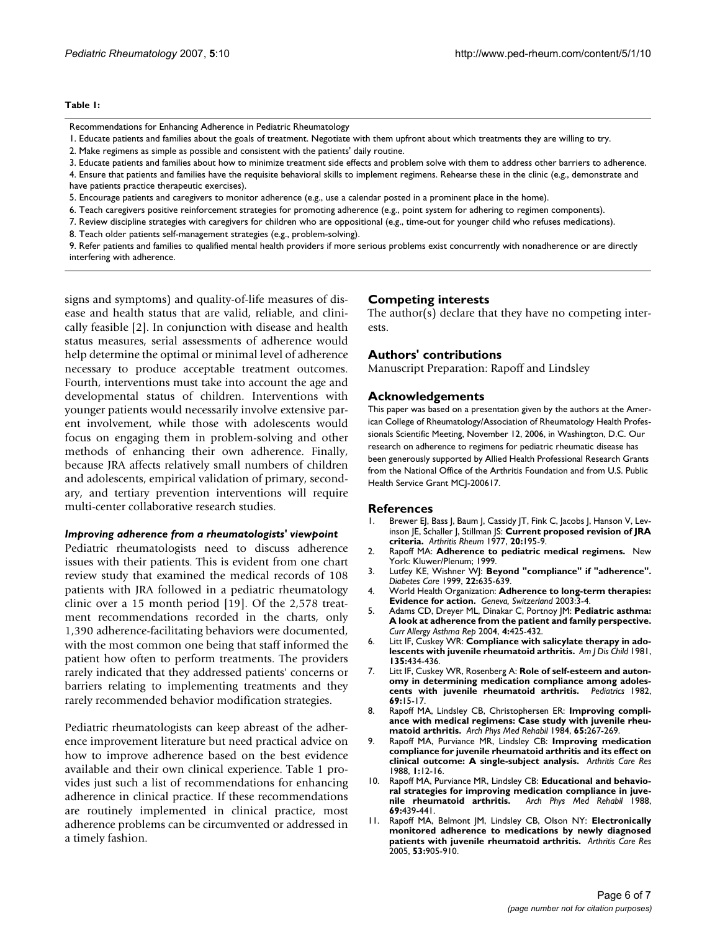#### **Table 1:**

Recommendations for Enhancing Adherence in Pediatric Rheumatology

- 1. Educate patients and families about the goals of treatment. Negotiate with them upfront about which treatments they are willing to try.
- 2. Make regimens as simple as possible and consistent with the patients' daily routine.
- 3. Educate patients and families about how to minimize treatment side effects and problem solve with them to address other barriers to adherence.
- 4. Ensure that patients and families have the requisite behavioral skills to implement regimens. Rehearse these in the clinic (e.g., demonstrate and have patients practice therapeutic exercises).
- 5. Encourage patients and caregivers to monitor adherence (e.g., use a calendar posted in a prominent place in the home).
- 6. Teach caregivers positive reinforcement strategies for promoting adherence (e.g., point system for adhering to regimen components).
- 7. Review discipline strategies with caregivers for children who are oppositional (e.g., time-out for younger child who refuses medications).

8. Teach older patients self-management strategies (e.g., problem-solving).

9. Refer patients and families to qualified mental health providers if more serious problems exist concurrently with nonadherence or are directly interfering with adherence.

signs and symptoms) and quality-of-life measures of disease and health status that are valid, reliable, and clinically feasible [2]. In conjunction with disease and health status measures, serial assessments of adherence would help determine the optimal or minimal level of adherence necessary to produce acceptable treatment outcomes. Fourth, interventions must take into account the age and developmental status of children. Interventions with younger patients would necessarily involve extensive parent involvement, while those with adolescents would focus on engaging them in problem-solving and other methods of enhancing their own adherence. Finally, because JRA affects relatively small numbers of children and adolescents, empirical validation of primary, secondary, and tertiary prevention interventions will require multi-center collaborative research studies.

#### *Improving adherence from a rheumatologists' viewpoint*

Pediatric rheumatologists need to discuss adherence issues with their patients. This is evident from one chart review study that examined the medical records of 108 patients with JRA followed in a pediatric rheumatology clinic over a 15 month period [19]. Of the 2,578 treatment recommendations recorded in the charts, only 1,390 adherence-facilitating behaviors were documented, with the most common one being that staff informed the patient how often to perform treatments. The providers rarely indicated that they addressed patients' concerns or barriers relating to implementing treatments and they rarely recommended behavior modification strategies.

Pediatric rheumatologists can keep abreast of the adherence improvement literature but need practical advice on how to improve adherence based on the best evidence available and their own clinical experience. Table 1 provides just such a list of recommendations for enhancing adherence in clinical practice. If these recommendations are routinely implemented in clinical practice, most adherence problems can be circumvented or addressed in a timely fashion.

#### **Competing interests**

The author( $\overline{s}$ ) declare that they have no competing interests.

#### **Authors' contributions**

Manuscript Preparation: Rapoff and Lindsley

#### **Acknowledgements**

This paper was based on a presentation given by the authors at the American College of Rheumatology/Association of Rheumatology Health Professionals Scientific Meeting, November 12, 2006, in Washington, D.C. Our research on adherence to regimens for pediatric rheumatic disease has been generously supported by Allied Health Professional Research Grants from the National Office of the Arthritis Foundation and from U.S. Public Health Service Grant MCJ-200617.

#### **References**

- 1. Brewer EJ, Bass J, Baum J, Cassidy JT, Fink C, Jacobs J, Hanson V, Levinson JE, Schaller J, Stillman JS: **[Current proposed revision of JRA](http://www.ncbi.nlm.nih.gov/entrez/query.fcgi?cmd=Retrieve&db=PubMed&dopt=Abstract&list_uids=318120) [criteria.](http://www.ncbi.nlm.nih.gov/entrez/query.fcgi?cmd=Retrieve&db=PubMed&dopt=Abstract&list_uids=318120)** *Arthritis Rheum* 1977, **20:**195-9.
- 2. Rapoff MA: **Adherence to pediatric medical regimens.** New York: Kluwer/Plenum; 1999.
- 3. Lutfey KE, Wishner WJ: **[Beyond "compliance" if "adherence".](http://www.ncbi.nlm.nih.gov/entrez/query.fcgi?cmd=Retrieve&db=PubMed&dopt=Abstract&list_uids=10189544)** *Diabetes Care* 1999, **22:**635-639.
- 4. World Health Organization: **Adherence to long-term therapies: Evidence for action.** *Geneva, Switzerland* 2003:3-4.
- 5. Adams CD, Dreyer ML, Dinakar C, Portnoy JM: **[Pediatric asthma:](http://www.ncbi.nlm.nih.gov/entrez/query.fcgi?cmd=Retrieve&db=PubMed&dopt=Abstract&list_uids=15462707) [A look at adherence from the patient and family perspective.](http://www.ncbi.nlm.nih.gov/entrez/query.fcgi?cmd=Retrieve&db=PubMed&dopt=Abstract&list_uids=15462707)** *Curr Allergy Asthma Rep* 2004, **4:**425-432.
- 6. Litt IF, Cuskey WR: **[Compliance with salicylate therapy in ado](http://www.ncbi.nlm.nih.gov/entrez/query.fcgi?cmd=Retrieve&db=PubMed&dopt=Abstract&list_uids=7234770)[lescents with juvenile rheumatoid arthritis.](http://www.ncbi.nlm.nih.gov/entrez/query.fcgi?cmd=Retrieve&db=PubMed&dopt=Abstract&list_uids=7234770)** *Am J Dis Child* 1981, **135:**434-436.
- 7. Litt IF, Cuskey WR, Rosenberg A: **[Role of self-esteem and auton](http://www.ncbi.nlm.nih.gov/entrez/query.fcgi?cmd=Retrieve&db=PubMed&dopt=Abstract&list_uids=7054755)[omy in determining medication compliance among adoles](http://www.ncbi.nlm.nih.gov/entrez/query.fcgi?cmd=Retrieve&db=PubMed&dopt=Abstract&list_uids=7054755)[cents with juvenile rheumatoid arthritis.](http://www.ncbi.nlm.nih.gov/entrez/query.fcgi?cmd=Retrieve&db=PubMed&dopt=Abstract&list_uids=7054755)** *Pediatrics* 1982, **69:**15-17.
- 8. Rapoff MA, Lindsley CB, Christophersen ER: **[Improving compli](http://www.ncbi.nlm.nih.gov/entrez/query.fcgi?cmd=Retrieve&db=PubMed&dopt=Abstract&list_uids=6712455)[ance with medical regimens: Case study with juvenile rheu](http://www.ncbi.nlm.nih.gov/entrez/query.fcgi?cmd=Retrieve&db=PubMed&dopt=Abstract&list_uids=6712455)[matoid arthritis.](http://www.ncbi.nlm.nih.gov/entrez/query.fcgi?cmd=Retrieve&db=PubMed&dopt=Abstract&list_uids=6712455)** *Arch Phys Med Rehabil* 1984, **65:**267-269.
- 9. Rapoff MA, Purviance MR, Lindsley CB: **Improving medication compliance for juvenile rheumatoid arthritis and its effect on clinical outcome: A single-subject analysis.** *Arthritis Care Res* 1988, **1:**12-16.
- 10. Rapoff MA, Purviance MR, Lindsley CB: **[Educational and behavio](http://www.ncbi.nlm.nih.gov/entrez/query.fcgi?cmd=Retrieve&db=PubMed&dopt=Abstract&list_uids=3377670)[ral strategies for improving medication compliance in juve](http://www.ncbi.nlm.nih.gov/entrez/query.fcgi?cmd=Retrieve&db=PubMed&dopt=Abstract&list_uids=3377670)[nile rheumatoid arthritis.](http://www.ncbi.nlm.nih.gov/entrez/query.fcgi?cmd=Retrieve&db=PubMed&dopt=Abstract&list_uids=3377670)** *Arch Phys Med Rehabil* 1988, **69:**439-441.
- 11. Rapoff MA, Belmont JM, Lindsley CB, Olson NY: **Electronically monitored adherence to medications by newly diagnosed patients with juvenile rheumatoid arthritis.** *Arthritis Care Res* 2005, **53:**905-910.